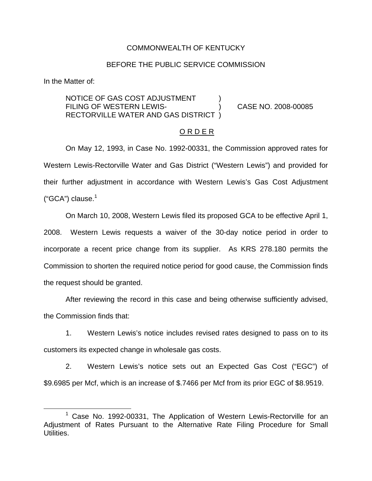## COMMONWEALTH OF KENTUCKY

## BEFORE THE PUBLIC SERVICE COMMISSION

In the Matter of:

NOTICE OF GAS COST ADJUSTMENT FILING OF WESTERN LEWIS-<br>
(and ) CASE NO. 2008-00085 RECTORVILLE WATER AND GAS DISTRICT )

#### O R D E R

On May 12, 1993, in Case No. 1992-00331, the Commission approved rates for Western Lewis-Rectorville Water and Gas District ("Western Lewis") and provided for their further adjustment in accordance with Western Lewis's Gas Cost Adjustment (" $GCA$ ") clause. $1$ 

On March 10, 2008, Western Lewis filed its proposed GCA to be effective April 1, 2008. Western Lewis requests a waiver of the 30-day notice period in order to incorporate a recent price change from its supplier. As KRS 278.180 permits the Commission to shorten the required notice period for good cause, the Commission finds the request should be granted.

After reviewing the record in this case and being otherwise sufficiently advised, the Commission finds that:

1. Western Lewis's notice includes revised rates designed to pass on to its customers its expected change in wholesale gas costs.

2. Western Lewis's notice sets out an Expected Gas Cost ("EGC") of \$9.6985 per Mcf, which is an increase of \$.7466 per Mcf from its prior EGC of \$8.9519.

<sup>1</sup> Case No. 1992-00331, The Application of Western Lewis-Rectorville for an Adjustment of Rates Pursuant to the Alternative Rate Filing Procedure for Small Utilities.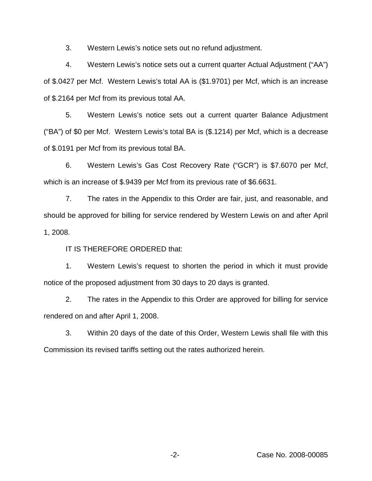3. Western Lewis's notice sets out no refund adjustment.

4. Western Lewis's notice sets out a current quarter Actual Adjustment ("AA") of \$.0427 per Mcf. Western Lewis's total AA is (\$1.9701) per Mcf, which is an increase of \$.2164 per Mcf from its previous total AA.

5. Western Lewis's notice sets out a current quarter Balance Adjustment ("BA") of \$0 per Mcf. Western Lewis's total BA is (\$.1214) per Mcf, which is a decrease of \$.0191 per Mcf from its previous total BA.

6. Western Lewis's Gas Cost Recovery Rate ("GCR") is \$7.6070 per Mcf, which is an increase of \$.9439 per Mcf from its previous rate of \$6.6631.

7. The rates in the Appendix to this Order are fair, just, and reasonable, and should be approved for billing for service rendered by Western Lewis on and after April 1, 2008.

IT IS THEREFORE ORDERED that:

1. Western Lewis's request to shorten the period in which it must provide notice of the proposed adjustment from 30 days to 20 days is granted.

2. The rates in the Appendix to this Order are approved for billing for service rendered on and after April 1, 2008.

3. Within 20 days of the date of this Order, Western Lewis shall file with this Commission its revised tariffs setting out the rates authorized herein.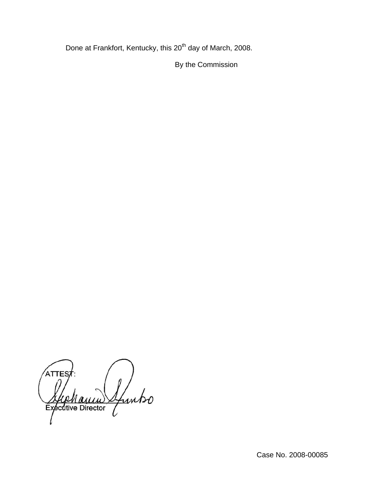Done at Frankfort, Kentucky, this 20<sup>th</sup> day of March, 2008.

By the Commission

ATTE Junto Executive Director